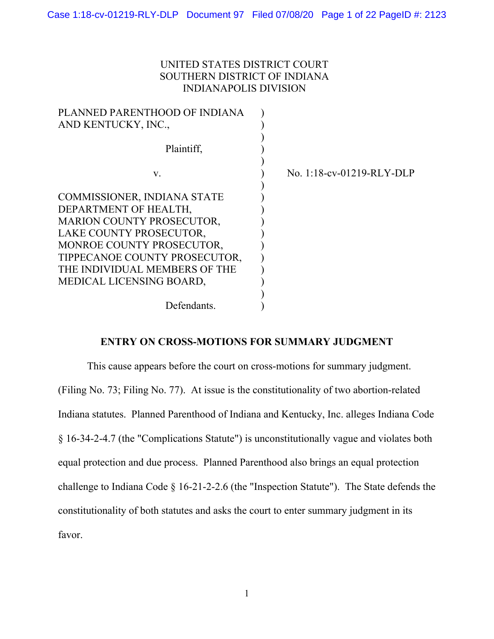# UNITED STATES DISTRICT COURT SOUTHERN DISTRICT OF INDIANA INDIANAPOLIS DIVISION

| PLANNED PARENTHOOD OF INDIANA<br>AND KENTUCKY, INC., |                           |
|------------------------------------------------------|---------------------------|
|                                                      |                           |
| Plaintiff,                                           |                           |
|                                                      |                           |
| V.                                                   | No. 1:18-cv-01219-RLY-DLP |
|                                                      |                           |
| COMMISSIONER, INDIANA STATE                          |                           |
| DEPARTMENT OF HEALTH,                                |                           |
| <b>MARION COUNTY PROSECUTOR,</b>                     |                           |
| LAKE COUNTY PROSECUTOR,                              |                           |
| MONROE COUNTY PROSECUTOR,                            |                           |
| TIPPECANOE COUNTY PROSECUTOR,                        |                           |
| THE INDIVIDUAL MEMBERS OF THE                        |                           |
| MEDICAL LICENSING BOARD,                             |                           |
|                                                      |                           |
| Defendants.                                          |                           |

## **ENTRY ON CROSS-MOTIONS FOR SUMMARY JUDGMENT**

This cause appears before the court on cross-motions for summary judgment. (Filing No. 73; Filing No. 77). At issue is the constitutionality of two abortion-related Indiana statutes. Planned Parenthood of Indiana and Kentucky, Inc. alleges Indiana Code § 16-34-2-4.7 (the "Complications Statute") is unconstitutionally vague and violates both equal protection and due process. Planned Parenthood also brings an equal protection challenge to Indiana Code § 16-21-2-2.6 (the "Inspection Statute"). The State defends the constitutionality of both statutes and asks the court to enter summary judgment in its favor.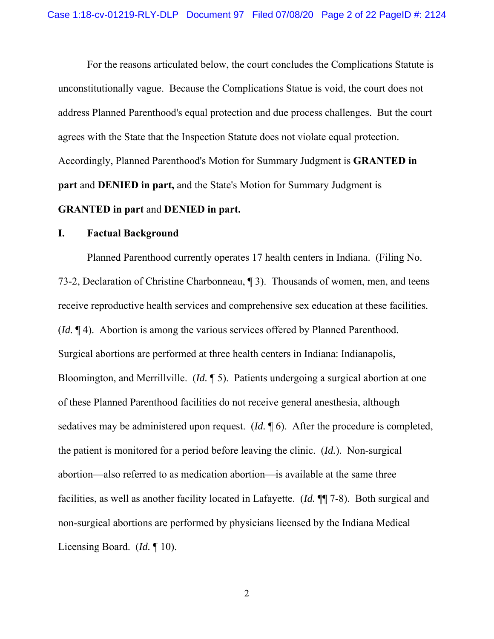For the reasons articulated below, the court concludes the Complications Statute is unconstitutionally vague. Because the Complications Statue is void, the court does not address Planned Parenthood's equal protection and due process challenges. But the court agrees with the State that the Inspection Statute does not violate equal protection. Accordingly, Planned Parenthood's Motion for Summary Judgment is **GRANTED in part** and **DENIED in part,** and the State's Motion for Summary Judgment is

## **GRANTED in part** and **DENIED in part.**

### **I. Factual Background**

Planned Parenthood currently operates 17 health centers in Indiana. (Filing No. 73-2, Declaration of Christine Charbonneau, ¶ 3). Thousands of women, men, and teens receive reproductive health services and comprehensive sex education at these facilities. (*Id.* ¶ 4). Abortion is among the various services offered by Planned Parenthood. Surgical abortions are performed at three health centers in Indiana: Indianapolis, Bloomington, and Merrillville. (*Id.* ¶ 5). Patients undergoing a surgical abortion at one of these Planned Parenthood facilities do not receive general anesthesia, although sedatives may be administered upon request. (*Id.* ¶ 6). After the procedure is completed, the patient is monitored for a period before leaving the clinic. (*Id.*). Non-surgical abortion—also referred to as medication abortion—is available at the same three facilities, as well as another facility located in Lafayette. (*Id.* ¶¶ 7-8). Both surgical and non-surgical abortions are performed by physicians licensed by the Indiana Medical Licensing Board. (*Id.* ¶ 10).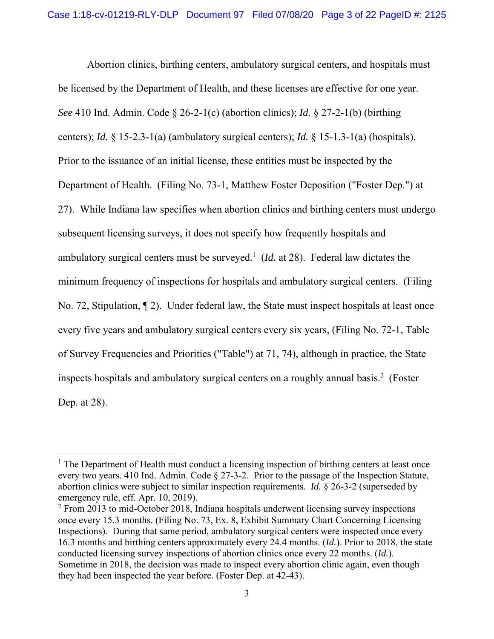Abortion clinics, birthing centers, ambulatory surgical centers, and hospitals must be licensed by the Department of Health, and these licenses are effective for one year. *See* 410 Ind. Admin. Code § 26-2-1(c) (abortion clinics); *Id.* § 27-2-1(b) (birthing centers); *Id.* § 15-2.3-1(a) (ambulatory surgical centers); *Id.* § 15-1.3-1(a) (hospitals). Prior to the issuance of an initial license, these entities must be inspected by the Department of Health. (Filing No. 73-1, Matthew Foster Deposition ("Foster Dep.") at 27). While Indiana law specifies when abortion clinics and birthing centers must undergo subsequent licensing surveys, it does not specify how frequently hospitals and ambulatory surgical centers must be surveyed.<sup>1</sup> (*Id.* at 28). Federal law dictates the minimum frequency of inspections for hospitals and ambulatory surgical centers. (Filing No. 72, Stipulation, ¶ 2). Under federal law, the State must inspect hospitals at least once every five years and ambulatory surgical centers every six years, (Filing No. 72-1, Table of Survey Frequencies and Priorities ("Table") at 71, 74), although in practice, the State inspects hospitals and ambulatory surgical centers on a roughly annual basis.<sup>2</sup> (Foster Dep. at 28).

<sup>&</sup>lt;sup>1</sup> The Department of Health must conduct a licensing inspection of birthing centers at least once every two years. 410 Ind. Admin. Code § 27-3-2. Prior to the passage of the Inspection Statute, abortion clinics were subject to similar inspection requirements. *Id.* § 26-3-2 (superseded by emergency rule, eff. Apr. 10, 2019).

 $2$  From 2013 to mid-October 2018, Indiana hospitals underwent licensing survey inspections once every 15.3 months. (Filing No. 73, Ex. 8, Exhibit Summary Chart Concerning Licensing Inspections). During that same period, ambulatory surgical centers were inspected once every 16.3 months and birthing centers approximately every 24.4 months. (*Id.*). Prior to 2018, the state conducted licensing survey inspections of abortion clinics once every 22 months. (*Id.*). Sometime in 2018, the decision was made to inspect every abortion clinic again, even though they had been inspected the year before. (Foster Dep. at 42-43).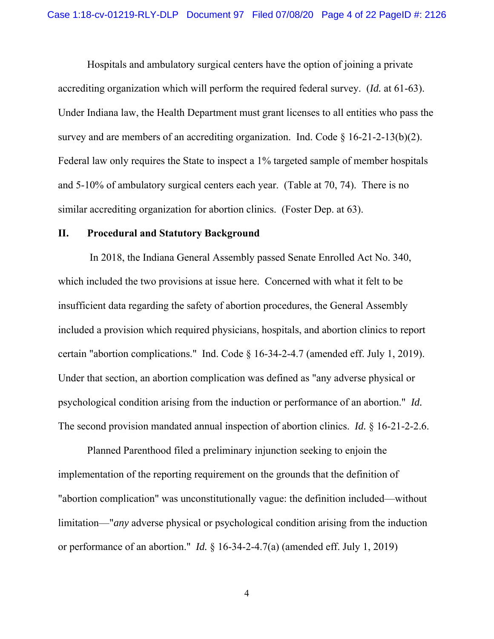Hospitals and ambulatory surgical centers have the option of joining a private accrediting organization which will perform the required federal survey. (*Id.* at 61-63). Under Indiana law, the Health Department must grant licenses to all entities who pass the survey and are members of an accrediting organization. Ind. Code  $\S 16-21-2-13(b)(2)$ . Federal law only requires the State to inspect a 1% targeted sample of member hospitals and 5-10% of ambulatory surgical centers each year. (Table at 70, 74). There is no similar accrediting organization for abortion clinics. (Foster Dep. at 63).

#### **II. Procedural and Statutory Background**

 In 2018, the Indiana General Assembly passed Senate Enrolled Act No. 340, which included the two provisions at issue here. Concerned with what it felt to be insufficient data regarding the safety of abortion procedures, the General Assembly included a provision which required physicians, hospitals, and abortion clinics to report certain "abortion complications." Ind. Code § 16-34-2-4.7 (amended eff. July 1, 2019). Under that section, an abortion complication was defined as "any adverse physical or psychological condition arising from the induction or performance of an abortion." *Id.* The second provision mandated annual inspection of abortion clinics. *Id.* § 16-21-2-2.6.

Planned Parenthood filed a preliminary injunction seeking to enjoin the implementation of the reporting requirement on the grounds that the definition of "abortion complication" was unconstitutionally vague: the definition included—without limitation—"*any* adverse physical or psychological condition arising from the induction or performance of an abortion." *Id.* § 16-34-2-4.7(a) (amended eff. July 1, 2019)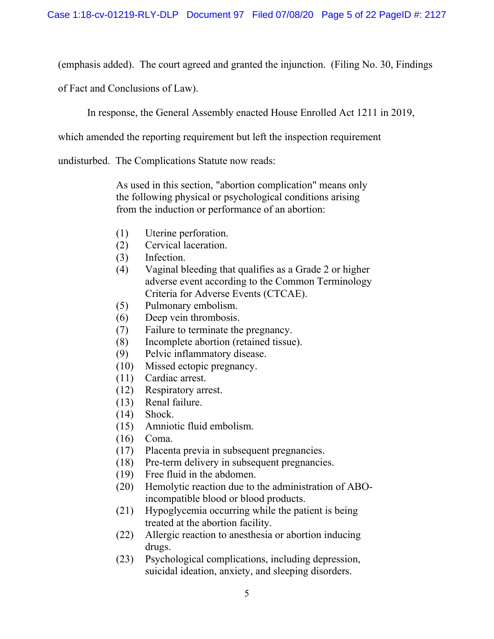(emphasis added). The court agreed and granted the injunction. (Filing No. 30, Findings

of Fact and Conclusions of Law).

In response, the General Assembly enacted House Enrolled Act 1211 in 2019,

which amended the reporting requirement but left the inspection requirement

undisturbed. The Complications Statute now reads:

As used in this section, "abortion complication" means only the following physical or psychological conditions arising from the induction or performance of an abortion:

- (1) Uterine perforation.
- (2) Cervical laceration.
- (3) Infection.
- (4) Vaginal bleeding that qualifies as a Grade 2 or higher adverse event according to the Common Terminology Criteria for Adverse Events (CTCAE).
- (5) Pulmonary embolism.
- (6) Deep vein thrombosis.
- (7) Failure to terminate the pregnancy.
- (8) Incomplete abortion (retained tissue).
- (9) Pelvic inflammatory disease.
- (10) Missed ectopic pregnancy.
- (11) Cardiac arrest.
- (12) Respiratory arrest.
- (13) Renal failure.
- (14) Shock.
- (15) Amniotic fluid embolism.
- (16) Coma.
- (17) Placenta previa in subsequent pregnancies.
- (18) Pre-term delivery in subsequent pregnancies.
- (19) Free fluid in the abdomen.
- (20) Hemolytic reaction due to the administration of ABOincompatible blood or blood products.
- (21) Hypoglycemia occurring while the patient is being treated at the abortion facility.
- (22) Allergic reaction to anesthesia or abortion inducing drugs.
- (23) Psychological complications, including depression, suicidal ideation, anxiety, and sleeping disorders.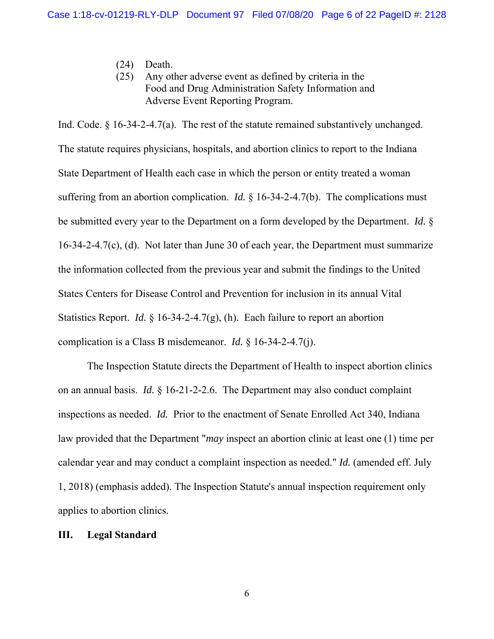- (24) Death.
- (25) Any other adverse event as defined by criteria in the Food and Drug Administration Safety Information and Adverse Event Reporting Program.

Ind. Code.  $\S$  16-34-2-4.7(a). The rest of the statute remained substantively unchanged. The statute requires physicians, hospitals, and abortion clinics to report to the Indiana State Department of Health each case in which the person or entity treated a woman suffering from an abortion complication. *Id.* § 16-34-2-4.7(b). The complications must be submitted every year to the Department on a form developed by the Department. *Id.* § 16-34-2-4.7(c), (d). Not later than June 30 of each year, the Department must summarize the information collected from the previous year and submit the findings to the United States Centers for Disease Control and Prevention for inclusion in its annual Vital Statistics Report. *Id.* § 16-34-2-4.7(g), (h). Each failure to report an abortion complication is a Class B misdemeanor. *Id.* § 16-34-2-4.7(j).

The Inspection Statute directs the Department of Health to inspect abortion clinics on an annual basis. *Id.* § 16-21-2-2.6. The Department may also conduct complaint inspections as needed. *Id.* Prior to the enactment of Senate Enrolled Act 340, Indiana law provided that the Department "*may* inspect an abortion clinic at least one (1) time per calendar year and may conduct a complaint inspection as needed." *Id.* (amended eff. July 1, 2018) (emphasis added). The Inspection Statute's annual inspection requirement only applies to abortion clinics.

#### **III. Legal Standard**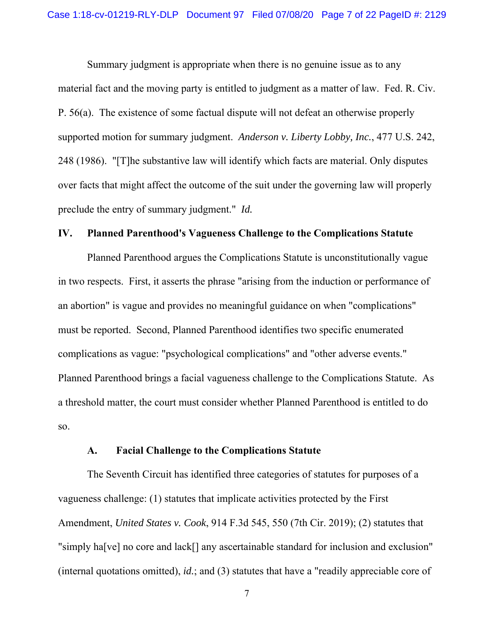Summary judgment is appropriate when there is no genuine issue as to any material fact and the moving party is entitled to judgment as a matter of law. Fed. R. Civ. P. 56(a). The existence of some factual dispute will not defeat an otherwise properly supported motion for summary judgment. *Anderson v. Liberty Lobby, Inc.*, 477 U.S. 242, 248 (1986). "[T]he substantive law will identify which facts are material. Only disputes over facts that might affect the outcome of the suit under the governing law will properly preclude the entry of summary judgment." *Id.*

#### **IV. Planned Parenthood's Vagueness Challenge to the Complications Statute**

Planned Parenthood argues the Complications Statute is unconstitutionally vague in two respects. First, it asserts the phrase "arising from the induction or performance of an abortion" is vague and provides no meaningful guidance on when "complications" must be reported. Second, Planned Parenthood identifies two specific enumerated complications as vague: "psychological complications" and "other adverse events." Planned Parenthood brings a facial vagueness challenge to the Complications Statute. As a threshold matter, the court must consider whether Planned Parenthood is entitled to do so.

#### **A. Facial Challenge to the Complications Statute**

The Seventh Circuit has identified three categories of statutes for purposes of a vagueness challenge: (1) statutes that implicate activities protected by the First Amendment, *United States v. Cook*, 914 F.3d 545, 550 (7th Cir. 2019); (2) statutes that "simply ha[ve] no core and lack[] any ascertainable standard for inclusion and exclusion" (internal quotations omitted), *id.*; and (3) statutes that have a "readily appreciable core of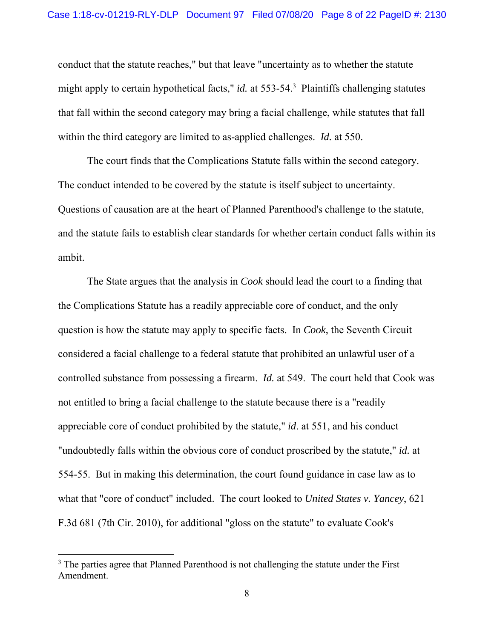conduct that the statute reaches," but that leave "uncertainty as to whether the statute might apply to certain hypothetical facts," *id.* at 553-54.<sup>3</sup> Plaintiffs challenging statutes that fall within the second category may bring a facial challenge, while statutes that fall within the third category are limited to as-applied challenges. *Id.* at 550.

The court finds that the Complications Statute falls within the second category. The conduct intended to be covered by the statute is itself subject to uncertainty. Questions of causation are at the heart of Planned Parenthood's challenge to the statute, and the statute fails to establish clear standards for whether certain conduct falls within its ambit.

The State argues that the analysis in *Cook* should lead the court to a finding that the Complications Statute has a readily appreciable core of conduct, and the only question is how the statute may apply to specific facts. In *Cook*, the Seventh Circuit considered a facial challenge to a federal statute that prohibited an unlawful user of a controlled substance from possessing a firearm. *Id.* at 549. The court held that Cook was not entitled to bring a facial challenge to the statute because there is a "readily appreciable core of conduct prohibited by the statute," *id*. at 551, and his conduct "undoubtedly falls within the obvious core of conduct proscribed by the statute," *id.* at 554-55. But in making this determination, the court found guidance in case law as to what that "core of conduct" included. The court looked to *United States v. Yancey*, 621 F.3d 681 (7th Cir. 2010), for additional "gloss on the statute" to evaluate Cook's

 $3$  The parties agree that Planned Parenthood is not challenging the statute under the First Amendment.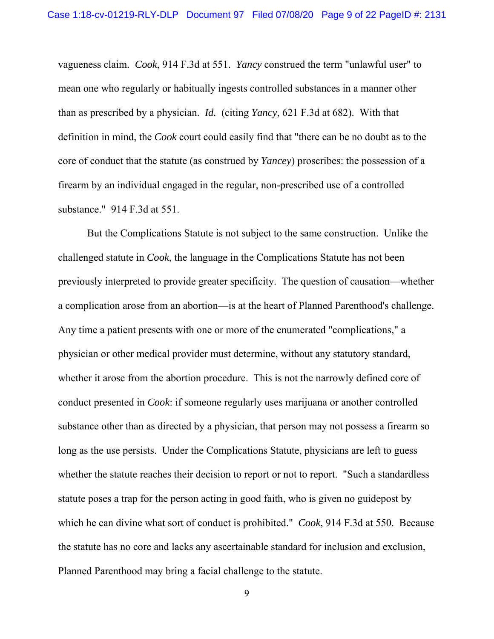vagueness claim. *Cook*, 914 F.3d at 551. *Yancy* construed the term "unlawful user" to mean one who regularly or habitually ingests controlled substances in a manner other than as prescribed by a physician. *Id.* (citing *Yancy*, 621 F.3d at 682). With that definition in mind, the *Cook* court could easily find that "there can be no doubt as to the core of conduct that the statute (as construed by *Yancey*) proscribes: the possession of a firearm by an individual engaged in the regular, non-prescribed use of a controlled substance." 914 F.3d at 551.

But the Complications Statute is not subject to the same construction. Unlike the challenged statute in *Cook*, the language in the Complications Statute has not been previously interpreted to provide greater specificity. The question of causation—whether a complication arose from an abortion—is at the heart of Planned Parenthood's challenge. Any time a patient presents with one or more of the enumerated "complications," a physician or other medical provider must determine, without any statutory standard, whether it arose from the abortion procedure. This is not the narrowly defined core of conduct presented in *Cook*: if someone regularly uses marijuana or another controlled substance other than as directed by a physician, that person may not possess a firearm so long as the use persists. Under the Complications Statute, physicians are left to guess whether the statute reaches their decision to report or not to report. "Such a standardless statute poses a trap for the person acting in good faith, who is given no guidepost by which he can divine what sort of conduct is prohibited." *Cook*, 914 F.3d at 550. Because the statute has no core and lacks any ascertainable standard for inclusion and exclusion, Planned Parenthood may bring a facial challenge to the statute.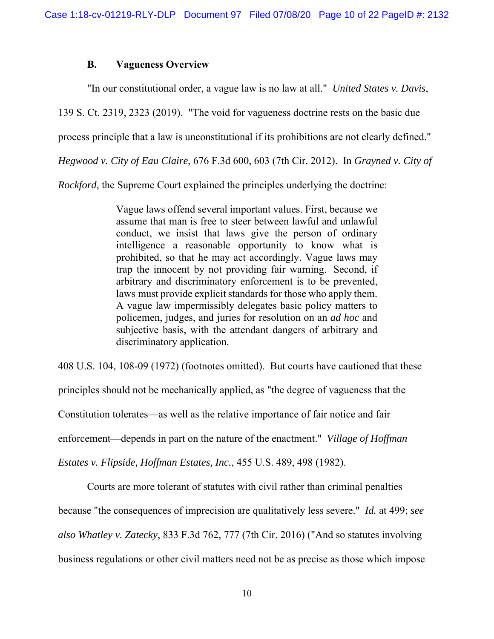### **B. Vagueness Overview**

"In our constitutional order, a vague law is no law at all." *United States v. Davis*,

139 S. Ct. 2319, 2323 (2019). "The void for vagueness doctrine rests on the basic due

process principle that a law is unconstitutional if its prohibitions are not clearly defined."

*Hegwood v. City of Eau Claire*, 676 F.3d 600, 603 (7th Cir. 2012). In *Grayned v. City of* 

*Rockford*, the Supreme Court explained the principles underlying the doctrine:

Vague laws offend several important values. First, because we assume that man is free to steer between lawful and unlawful conduct, we insist that laws give the person of ordinary intelligence a reasonable opportunity to know what is prohibited, so that he may act accordingly. Vague laws may trap the innocent by not providing fair warning. Second, if arbitrary and discriminatory enforcement is to be prevented, laws must provide explicit standards for those who apply them. A vague law impermissibly delegates basic policy matters to policemen, judges, and juries for resolution on an *ad hoc* and subjective basis, with the attendant dangers of arbitrary and discriminatory application.

408 U.S. 104, 108-09 (1972) (footnotes omitted). But courts have cautioned that these

principles should not be mechanically applied, as "the degree of vagueness that the

Constitution tolerates—as well as the relative importance of fair notice and fair

enforcement—depends in part on the nature of the enactment." *Village of Hoffman* 

*Estates v. Flipside, Hoffman Estates, Inc.*, 455 U.S. 489, 498 (1982).

Courts are more tolerant of statutes with civil rather than criminal penalties

because "the consequences of imprecision are qualitatively less severe." *Id.* at 499; *see* 

*also Whatley v. Zatecky*, 833 F.3d 762, 777 (7th Cir. 2016) ("And so statutes involving

business regulations or other civil matters need not be as precise as those which impose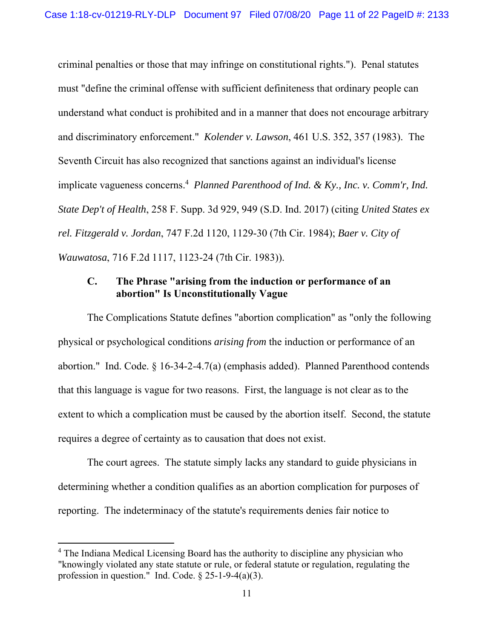criminal penalties or those that may infringe on constitutional rights."). Penal statutes must "define the criminal offense with sufficient definiteness that ordinary people can understand what conduct is prohibited and in a manner that does not encourage arbitrary and discriminatory enforcement." *Kolender v. Lawson*, 461 U.S. 352, 357 (1983). The Seventh Circuit has also recognized that sanctions against an individual's license implicate vagueness concerns.<sup>4</sup> Planned Parenthood of Ind. & Ky., Inc. v. Comm'r, Ind. *State Dep't of Health*, 258 F. Supp. 3d 929, 949 (S.D. Ind. 2017) (citing *United States ex rel. Fitzgerald v. Jordan*, 747 F.2d 1120, 1129-30 (7th Cir. 1984); *Baer v. City of Wauwatosa*, 716 F.2d 1117, 1123-24 (7th Cir. 1983)).

# **C. The Phrase "arising from the induction or performance of an abortion" Is Unconstitutionally Vague**

The Complications Statute defines "abortion complication" as "only the following physical or psychological conditions *arising from* the induction or performance of an abortion." Ind. Code. § 16-34-2-4.7(a) (emphasis added). Planned Parenthood contends that this language is vague for two reasons. First, the language is not clear as to the extent to which a complication must be caused by the abortion itself. Second, the statute requires a degree of certainty as to causation that does not exist.

The court agrees. The statute simply lacks any standard to guide physicians in determining whether a condition qualifies as an abortion complication for purposes of reporting. The indeterminacy of the statute's requirements denies fair notice to

<sup>&</sup>lt;sup>4</sup> The Indiana Medical Licensing Board has the authority to discipline any physician who "knowingly violated any state statute or rule, or federal statute or regulation, regulating the profession in question." Ind. Code. § 25-1-9-4(a)(3).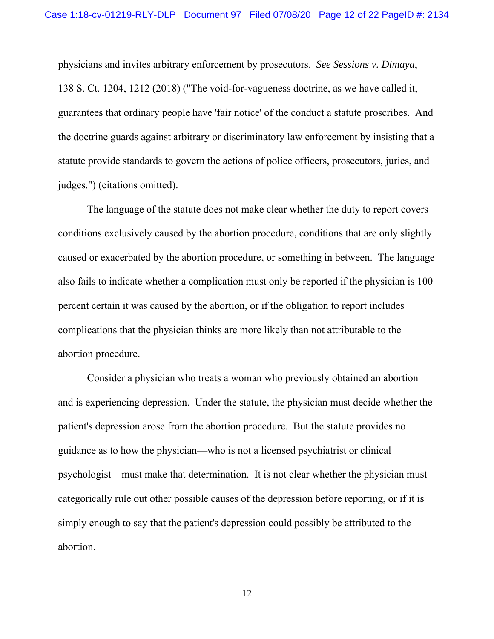physicians and invites arbitrary enforcement by prosecutors. *See Sessions v. Dimaya*, 138 S. Ct. 1204, 1212 (2018) ("The void-for-vagueness doctrine, as we have called it, guarantees that ordinary people have 'fair notice' of the conduct a statute proscribes. And the doctrine guards against arbitrary or discriminatory law enforcement by insisting that a statute provide standards to govern the actions of police officers, prosecutors, juries, and judges.") (citations omitted).

 The language of the statute does not make clear whether the duty to report covers conditions exclusively caused by the abortion procedure, conditions that are only slightly caused or exacerbated by the abortion procedure, or something in between. The language also fails to indicate whether a complication must only be reported if the physician is 100 percent certain it was caused by the abortion, or if the obligation to report includes complications that the physician thinks are more likely than not attributable to the abortion procedure.

 Consider a physician who treats a woman who previously obtained an abortion and is experiencing depression. Under the statute, the physician must decide whether the patient's depression arose from the abortion procedure. But the statute provides no guidance as to how the physician—who is not a licensed psychiatrist or clinical psychologist—must make that determination. It is not clear whether the physician must categorically rule out other possible causes of the depression before reporting, or if it is simply enough to say that the patient's depression could possibly be attributed to the abortion.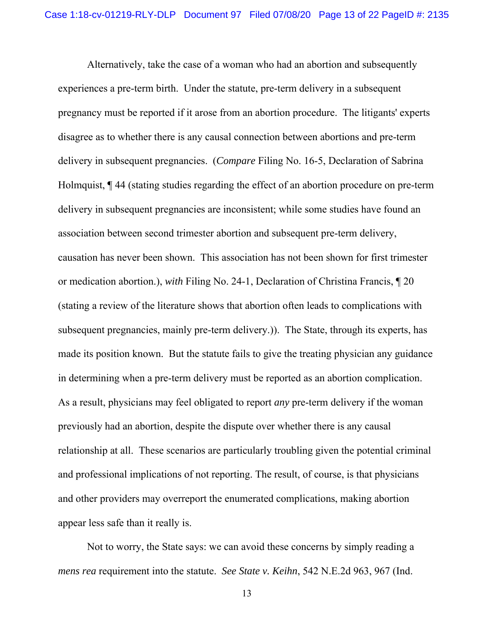Alternatively, take the case of a woman who had an abortion and subsequently experiences a pre-term birth. Under the statute, pre-term delivery in a subsequent pregnancy must be reported if it arose from an abortion procedure. The litigants' experts disagree as to whether there is any causal connection between abortions and pre-term delivery in subsequent pregnancies. (*Compare* Filing No. 16-5, Declaration of Sabrina Holmquist, ¶ 44 (stating studies regarding the effect of an abortion procedure on pre-term delivery in subsequent pregnancies are inconsistent; while some studies have found an association between second trimester abortion and subsequent pre-term delivery, causation has never been shown. This association has not been shown for first trimester or medication abortion.), *with* Filing No. 24-1, Declaration of Christina Francis, ¶ 20 (stating a review of the literature shows that abortion often leads to complications with subsequent pregnancies, mainly pre-term delivery.)). The State, through its experts, has made its position known. But the statute fails to give the treating physician any guidance in determining when a pre-term delivery must be reported as an abortion complication. As a result, physicians may feel obligated to report *any* pre-term delivery if the woman previously had an abortion, despite the dispute over whether there is any causal relationship at all. These scenarios are particularly troubling given the potential criminal and professional implications of not reporting. The result, of course, is that physicians and other providers may overreport the enumerated complications, making abortion appear less safe than it really is.

 Not to worry, the State says: we can avoid these concerns by simply reading a *mens rea* requirement into the statute. *See State v. Keihn*, 542 N.E.2d 963, 967 (Ind.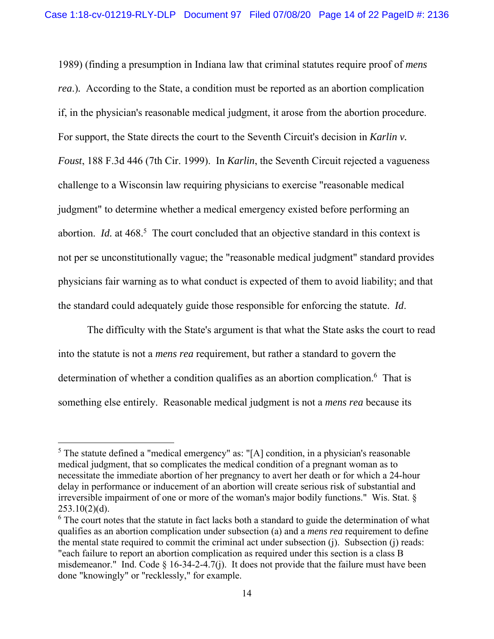1989) (finding a presumption in Indiana law that criminal statutes require proof of *mens rea*.)*.* According to the State, a condition must be reported as an abortion complication if, in the physician's reasonable medical judgment, it arose from the abortion procedure. For support, the State directs the court to the Seventh Circuit's decision in *Karlin v. Foust*, 188 F.3d 446 (7th Cir. 1999). In *Karlin*, the Seventh Circuit rejected a vagueness challenge to a Wisconsin law requiring physicians to exercise "reasonable medical judgment" to determine whether a medical emergency existed before performing an abortion. *Id.* at 468.<sup>5</sup> The court concluded that an objective standard in this context is not per se unconstitutionally vague; the "reasonable medical judgment" standard provides physicians fair warning as to what conduct is expected of them to avoid liability; and that the standard could adequately guide those responsible for enforcing the statute. *Id*.

The difficulty with the State's argument is that what the State asks the court to read into the statute is not a *mens rea* requirement, but rather a standard to govern the determination of whether a condition qualifies as an abortion complication.<sup>6</sup> That is something else entirely. Reasonable medical judgment is not a *mens rea* because its

<sup>&</sup>lt;sup>5</sup> The statute defined a "medical emergency" as: "[A] condition, in a physician's reasonable medical judgment, that so complicates the medical condition of a pregnant woman as to necessitate the immediate abortion of her pregnancy to avert her death or for which a 24-hour delay in performance or inducement of an abortion will create serious risk of substantial and irreversible impairment of one or more of the woman's major bodily functions." Wis. Stat. §  $253.10(2)(d)$ .

 $6$  The court notes that the statute in fact lacks both a standard to guide the determination of what qualifies as an abortion complication under subsection (a) and a *mens rea* requirement to define the mental state required to commit the criminal act under subsection (j). Subsection (j) reads: "each failure to report an abortion complication as required under this section is a class B misdemeanor." Ind. Code § 16-34-2-4.7(j). It does not provide that the failure must have been done "knowingly" or "recklessly," for example.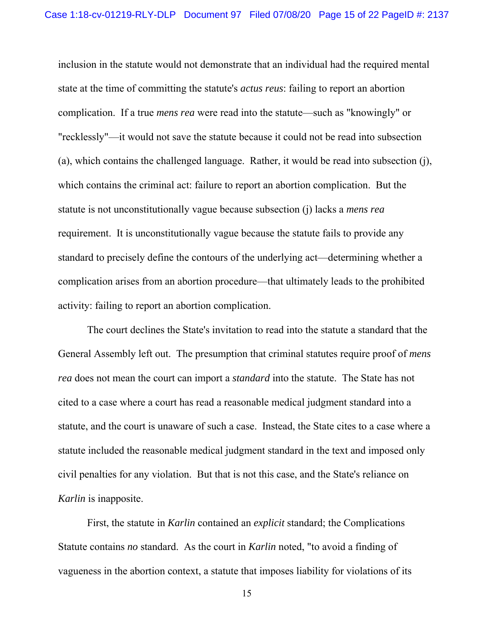inclusion in the statute would not demonstrate that an individual had the required mental state at the time of committing the statute's *actus reus*: failing to report an abortion complication. If a true *mens rea* were read into the statute—such as "knowingly" or "recklessly"—it would not save the statute because it could not be read into subsection (a), which contains the challenged language. Rather, it would be read into subsection (j), which contains the criminal act: failure to report an abortion complication. But the statute is not unconstitutionally vague because subsection (j) lacks a *mens rea* requirement. It is unconstitutionally vague because the statute fails to provide any standard to precisely define the contours of the underlying act—determining whether a complication arises from an abortion procedure—that ultimately leads to the prohibited activity: failing to report an abortion complication.

The court declines the State's invitation to read into the statute a standard that the General Assembly left out. The presumption that criminal statutes require proof of *mens rea* does not mean the court can import a *standard* into the statute. The State has not cited to a case where a court has read a reasonable medical judgment standard into a statute, and the court is unaware of such a case. Instead, the State cites to a case where a statute included the reasonable medical judgment standard in the text and imposed only civil penalties for any violation. But that is not this case, and the State's reliance on *Karlin* is inapposite.

First, the statute in *Karlin* contained an *explicit* standard; the Complications Statute contains *no* standard. As the court in *Karlin* noted, "to avoid a finding of vagueness in the abortion context, a statute that imposes liability for violations of its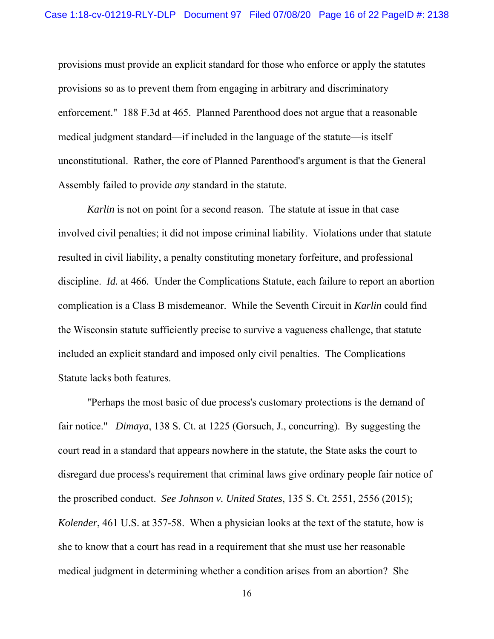provisions must provide an explicit standard for those who enforce or apply the statutes provisions so as to prevent them from engaging in arbitrary and discriminatory enforcement." 188 F.3d at 465. Planned Parenthood does not argue that a reasonable medical judgment standard—if included in the language of the statute—is itself unconstitutional. Rather, the core of Planned Parenthood's argument is that the General Assembly failed to provide *any* standard in the statute.

*Karlin* is not on point for a second reason. The statute at issue in that case involved civil penalties; it did not impose criminal liability. Violations under that statute resulted in civil liability, a penalty constituting monetary forfeiture, and professional discipline. *Id.* at 466*.* Under the Complications Statute, each failure to report an abortion complication is a Class B misdemeanor. While the Seventh Circuit in *Karlin* could find the Wisconsin statute sufficiently precise to survive a vagueness challenge, that statute included an explicit standard and imposed only civil penalties. The Complications Statute lacks both features.

"Perhaps the most basic of due process's customary protections is the demand of fair notice." *Dimaya*, 138 S. Ct. at 1225 (Gorsuch, J., concurring). By suggesting the court read in a standard that appears nowhere in the statute, the State asks the court to disregard due process's requirement that criminal laws give ordinary people fair notice of the proscribed conduct. *See Johnson v. United States*, 135 S. Ct. 2551, 2556 (2015); *Kolender*, 461 U.S. at 357-58. When a physician looks at the text of the statute, how is she to know that a court has read in a requirement that she must use her reasonable medical judgment in determining whether a condition arises from an abortion? She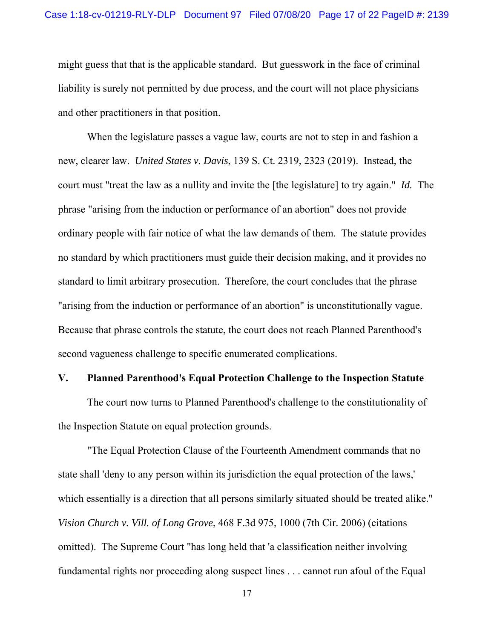might guess that that is the applicable standard. But guesswork in the face of criminal liability is surely not permitted by due process, and the court will not place physicians and other practitioners in that position.

When the legislature passes a vague law, courts are not to step in and fashion a new, clearer law. *United States v. Davis*, 139 S. Ct. 2319, 2323 (2019). Instead, the court must "treat the law as a nullity and invite the [the legislature] to try again." *Id.* The phrase "arising from the induction or performance of an abortion" does not provide ordinary people with fair notice of what the law demands of them. The statute provides no standard by which practitioners must guide their decision making, and it provides no standard to limit arbitrary prosecution. Therefore, the court concludes that the phrase "arising from the induction or performance of an abortion" is unconstitutionally vague. Because that phrase controls the statute, the court does not reach Planned Parenthood's second vagueness challenge to specific enumerated complications.

#### **V. Planned Parenthood's Equal Protection Challenge to the Inspection Statute**

 The court now turns to Planned Parenthood's challenge to the constitutionality of the Inspection Statute on equal protection grounds.

 "The Equal Protection Clause of the Fourteenth Amendment commands that no state shall 'deny to any person within its jurisdiction the equal protection of the laws,' which essentially is a direction that all persons similarly situated should be treated alike." *Vision Church v. Vill. of Long Grove*, 468 F.3d 975, 1000 (7th Cir. 2006) (citations omitted). The Supreme Court "has long held that 'a classification neither involving fundamental rights nor proceeding along suspect lines . . . cannot run afoul of the Equal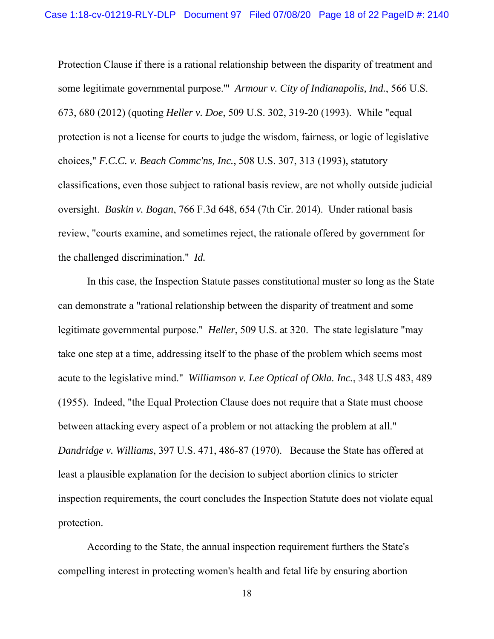Protection Clause if there is a rational relationship between the disparity of treatment and some legitimate governmental purpose.'" *Armour v. City of Indianapolis, Ind.*, 566 U.S. 673, 680 (2012) (quoting *Heller v. Doe*, 509 U.S. 302, 319-20 (1993). While "equal protection is not a license for courts to judge the wisdom, fairness, or logic of legislative choices," *F.C.C. v. Beach Commc'ns, Inc.*, 508 U.S. 307, 313 (1993), statutory classifications, even those subject to rational basis review, are not wholly outside judicial oversight. *Baskin v. Bogan*, 766 F.3d 648, 654 (7th Cir. 2014). Under rational basis review, "courts examine, and sometimes reject, the rationale offered by government for the challenged discrimination." *Id.*

 In this case, the Inspection Statute passes constitutional muster so long as the State can demonstrate a "rational relationship between the disparity of treatment and some legitimate governmental purpose." *Heller*, 509 U.S. at 320. The state legislature "may take one step at a time, addressing itself to the phase of the problem which seems most acute to the legislative mind." *Williamson v. Lee Optical of Okla. Inc.*, 348 U.S 483, 489 (1955). Indeed, "the Equal Protection Clause does not require that a State must choose between attacking every aspect of a problem or not attacking the problem at all." *Dandridge v. Williams*, 397 U.S. 471, 486-87 (1970). Because the State has offered at least a plausible explanation for the decision to subject abortion clinics to stricter inspection requirements, the court concludes the Inspection Statute does not violate equal protection.

According to the State, the annual inspection requirement furthers the State's compelling interest in protecting women's health and fetal life by ensuring abortion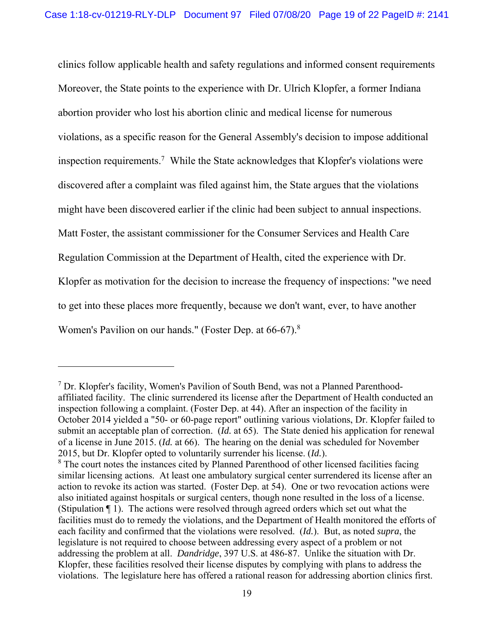clinics follow applicable health and safety regulations and informed consent requirements Moreover, the State points to the experience with Dr. Ulrich Klopfer, a former Indiana abortion provider who lost his abortion clinic and medical license for numerous violations, as a specific reason for the General Assembly's decision to impose additional inspection requirements.<sup>7</sup> While the State acknowledges that Klopfer's violations were discovered after a complaint was filed against him, the State argues that the violations might have been discovered earlier if the clinic had been subject to annual inspections. Matt Foster, the assistant commissioner for the Consumer Services and Health Care Regulation Commission at the Department of Health, cited the experience with Dr. Klopfer as motivation for the decision to increase the frequency of inspections: "we need to get into these places more frequently, because we don't want, ever, to have another Women's Pavilion on our hands." (Foster Dep. at 66-67).<sup>8</sup>

<sup>&</sup>lt;sup>7</sup> Dr. Klopfer's facility, Women's Pavilion of South Bend, was not a Planned Parenthoodaffiliated facility. The clinic surrendered its license after the Department of Health conducted an inspection following a complaint. (Foster Dep. at 44). After an inspection of the facility in October 2014 yielded a "50- or 60-page report" outlining various violations, Dr. Klopfer failed to submit an acceptable plan of correction. (*Id.* at 65). The State denied his application for renewal of a license in June 2015. (*Id.* at 66). The hearing on the denial was scheduled for November 2015, but Dr. Klopfer opted to voluntarily surrender his license. (*Id.*).

<sup>&</sup>lt;sup>8</sup> The court notes the instances cited by Planned Parenthood of other licensed facilities facing similar licensing actions. At least one ambulatory surgical center surrendered its license after an action to revoke its action was started. (Foster Dep. at 54). One or two revocation actions were also initiated against hospitals or surgical centers, though none resulted in the loss of a license. (Stipulation ¶ 1). The actions were resolved through agreed orders which set out what the facilities must do to remedy the violations, and the Department of Health monitored the efforts of each facility and confirmed that the violations were resolved. (*Id.*). But, as noted *supra*, the legislature is not required to choose between addressing every aspect of a problem or not addressing the problem at all. *Dandridge*, 397 U.S. at 486-87. Unlike the situation with Dr. Klopfer, these facilities resolved their license disputes by complying with plans to address the violations. The legislature here has offered a rational reason for addressing abortion clinics first.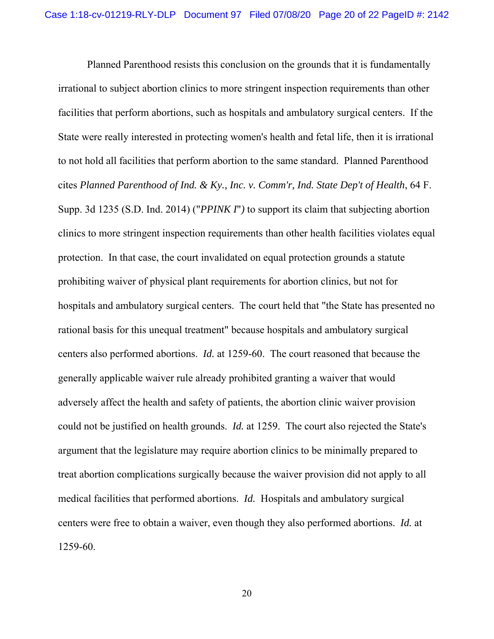Planned Parenthood resists this conclusion on the grounds that it is fundamentally irrational to subject abortion clinics to more stringent inspection requirements than other facilities that perform abortions, such as hospitals and ambulatory surgical centers. If the State were really interested in protecting women's health and fetal life, then it is irrational to not hold all facilities that perform abortion to the same standard. Planned Parenthood cites *Planned Parenthood of Ind. & Ky., Inc. v. Comm'r, Ind. State Dep't of Health*, 64 F. Supp. 3d 1235 (S.D. Ind. 2014) ("*PPINK I*"*)* to support its claim that subjecting abortion clinics to more stringent inspection requirements than other health facilities violates equal protection. In that case, the court invalidated on equal protection grounds a statute prohibiting waiver of physical plant requirements for abortion clinics, but not for hospitals and ambulatory surgical centers. The court held that "the State has presented no rational basis for this unequal treatment" because hospitals and ambulatory surgical centers also performed abortions. *Id.* at 1259-60. The court reasoned that because the generally applicable waiver rule already prohibited granting a waiver that would adversely affect the health and safety of patients, the abortion clinic waiver provision could not be justified on health grounds. *Id.* at 1259. The court also rejected the State's argument that the legislature may require abortion clinics to be minimally prepared to treat abortion complications surgically because the waiver provision did not apply to all medical facilities that performed abortions. *Id.* Hospitals and ambulatory surgical centers were free to obtain a waiver, even though they also performed abortions. *Id.* at 1259-60.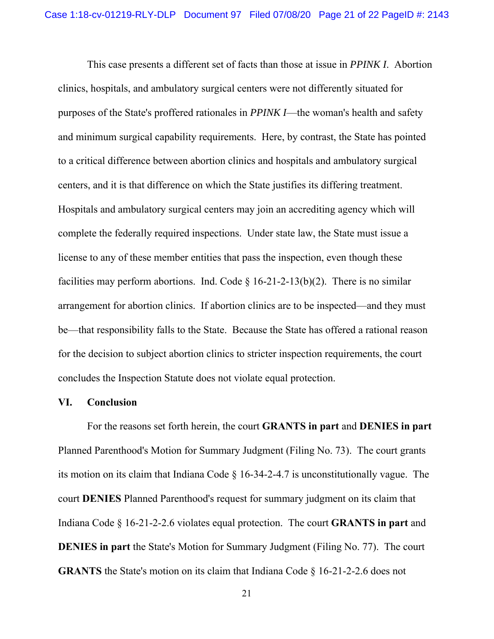This case presents a different set of facts than those at issue in *PPINK I*. Abortion clinics, hospitals, and ambulatory surgical centers were not differently situated for purposes of the State's proffered rationales in *PPINK I*—the woman's health and safety and minimum surgical capability requirements. Here, by contrast, the State has pointed to a critical difference between abortion clinics and hospitals and ambulatory surgical centers, and it is that difference on which the State justifies its differing treatment. Hospitals and ambulatory surgical centers may join an accrediting agency which will complete the federally required inspections. Under state law, the State must issue a license to any of these member entities that pass the inspection, even though these facilities may perform abortions. Ind. Code  $\S$  16-21-2-13(b)(2). There is no similar arrangement for abortion clinics. If abortion clinics are to be inspected—and they must be—that responsibility falls to the State. Because the State has offered a rational reason for the decision to subject abortion clinics to stricter inspection requirements, the court concludes the Inspection Statute does not violate equal protection.

#### **VI. Conclusion**

 For the reasons set forth herein, the court **GRANTS in part** and **DENIES in part** Planned Parenthood's Motion for Summary Judgment (Filing No. 73). The court grants its motion on its claim that Indiana Code § 16-34-2-4.7 is unconstitutionally vague. The court **DENIES** Planned Parenthood's request for summary judgment on its claim that Indiana Code § 16-21-2-2.6 violates equal protection. The court **GRANTS in part** and **DENIES in part** the State's Motion for Summary Judgment (Filing No. 77). The court **GRANTS** the State's motion on its claim that Indiana Code § 16-21-2-2.6 does not